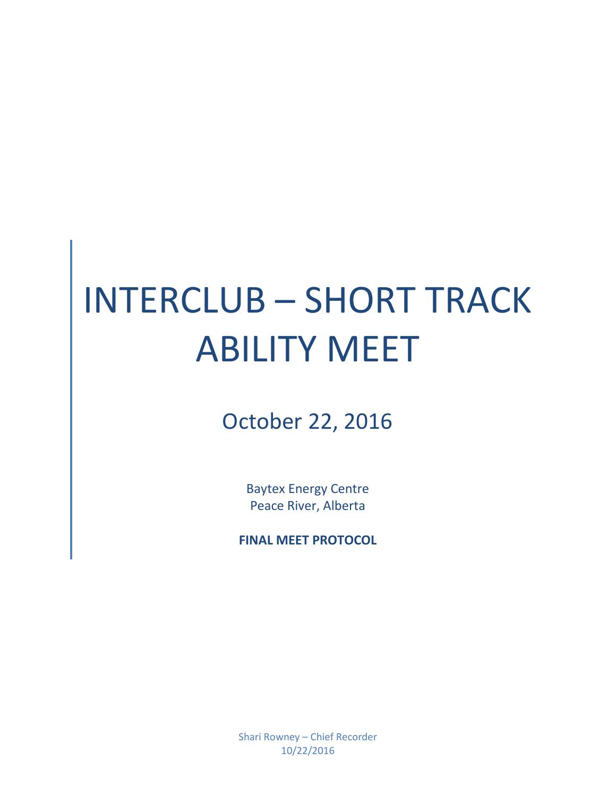# INTERCLUB – SHORT TRACK ABILITY MEET

## October 22, 2016

Baytex Energy Centre Peace River, Alberta

**FINAL MEET PROTOCOL**

Shari Rowney – Chief Recorder 10/22/2016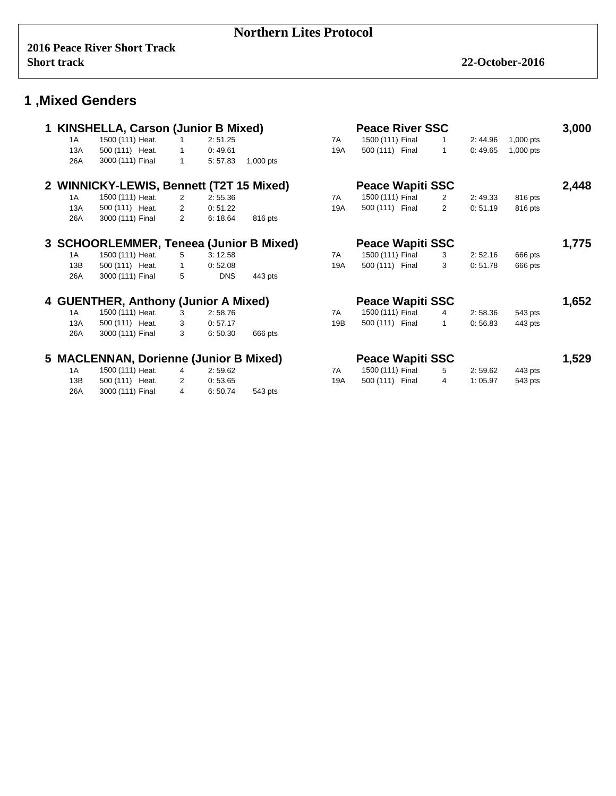|     | 1 KINSHELLA, Carson (Junior B Mixed)     |                |            |           |            | <b>Peace River SSC</b>  |                |         |             | 3,000 |
|-----|------------------------------------------|----------------|------------|-----------|------------|-------------------------|----------------|---------|-------------|-------|
| 1A  | 1500 (111) Heat.                         | $\mathbf{1}$   | 2:51.25    |           | 7A         | 1500 (111) Final        | 1              | 2:44.96 | $1,000$ pts |       |
| 13A | 500 (111) Heat.                          | 1              | 0:49.61    |           | <b>19A</b> | 500 (111) Final         | $\mathbf 1$    | 0:49.65 | 1,000 pts   |       |
| 26A | 3000 (111) Final                         | $\mathbf{1}$   | 5:57.83    | 1,000 pts |            |                         |                |         |             |       |
|     | 2 WINNICKY-LEWIS, Bennett (T2T 15 Mixed) |                |            |           |            | <b>Peace Wapiti SSC</b> |                |         |             | 2,448 |
| 1 A | 1500 (111) Heat.                         | $\overline{2}$ | 2:55.36    |           | 7A         | 1500 (111) Final        | 2              | 2:49.33 | 816 pts     |       |
| 13A | 500 (111) Heat.                          | 2              | 0:51.22    |           | 19A        | 500 (111) Final         | $\overline{2}$ | 0:51.19 | 816 pts     |       |
| 26A | 3000 (111) Final                         | $\overline{2}$ | 6:18.64    | 816 pts   |            |                         |                |         |             |       |
|     | 3 SCHOORLEMMER, Teneea (Junior B Mixed)  |                |            |           |            | <b>Peace Wapiti SSC</b> |                |         |             | 1,775 |
| 1A  | 1500 (111) Heat.                         | 5              | 3:12.58    |           | 7A         | 1500 (111) Final        | 3              | 2:52.16 | 666 pts     |       |
| 13B | 500 (111) Heat.                          | 1              | 0:52.08    |           | 19A        | 500 (111) Final         | 3              | 0:51.78 | 666 pts     |       |
| 26A | 3000 (111) Final                         | 5              | <b>DNS</b> | 443 pts   |            |                         |                |         |             |       |
|     | 4 GUENTHER, Anthony (Junior A Mixed)     |                |            |           |            | <b>Peace Wapiti SSC</b> |                |         |             | 1,652 |
| 1A  | 1500 (111) Heat.                         | 3              | 2:58.76    |           | 7A         | 1500 (111) Final        | 4              | 2:58.36 | 543 pts     |       |
| 13A | 500 (111) Heat.                          | 3              | 0:57.17    |           | 19B        | 500 (111) Final         | 1              | 0:56.83 | 443 pts     |       |
| 26A | 3000 (111) Final                         | 3              | 6:50.30    | 666 pts   |            |                         |                |         |             |       |
|     | 5 MACLENNAN, Dorienne (Junior B Mixed)   |                |            |           |            | <b>Peace Wapiti SSC</b> |                |         |             | 1,529 |
| 1A  | 1500 (111) Heat.                         | $\overline{4}$ | 2:59.62    |           | 7A         | 1500 (111) Final        | 5              | 2:59.62 | 443 pts     |       |
| 13B | 500 (111) Heat.                          | 2              | 0:53.65    |           | 19A        | 500 (111) Final         | 4              | 1:05.97 | 543 pts     |       |
| 26A | 3000 (111) Final                         | 4              | 6:50.74    | 543 pts   |            |                         |                |         |             |       |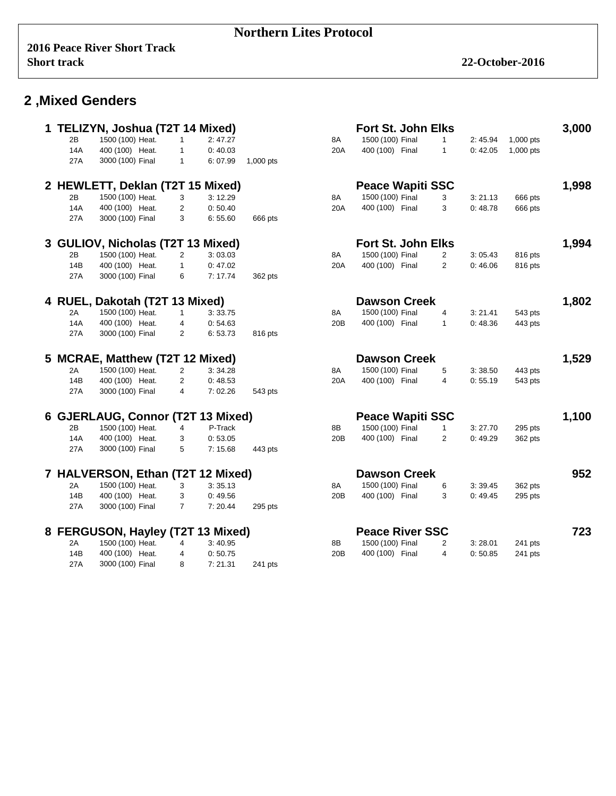#### **Northern Lites Protocol**

|     | 1 TELIZYN, Joshua (T2T 14 Mixed)  |                |         |           |     | Fort St. John Elks        |                |          |           | 3,000 |
|-----|-----------------------------------|----------------|---------|-----------|-----|---------------------------|----------------|----------|-----------|-------|
| 2B  | 1500 (100) Heat.                  | $\mathbf{1}$   | 2:47.27 |           | 8A  | 1500 (100) Final          | 1              | 2:45.94  | 1,000 pts |       |
| 14A | 400 (100) Heat.                   | $\mathbf{1}$   | 0:40.03 |           | 20A | 400 (100) Final           | $\mathbf{1}$   | 0:42.05  | 1,000 pts |       |
| 27A | 3000 (100) Final                  | $\mathbf{1}$   | 6:07.99 | 1,000 pts |     |                           |                |          |           |       |
|     | 2 HEWLETT, Deklan (T2T 15 Mixed)  |                |         |           |     | <b>Peace Wapiti SSC</b>   |                |          |           | 1,998 |
| 2B  | 1500 (100) Heat.                  | 3              | 3:12.29 |           | 8A  | 1500 (100) Final          | 3              | 3:21.13  | 666 pts   |       |
| 14A | 400 (100) Heat.                   | $\overline{2}$ | 0:50.40 |           | 20A | 400 (100) Final           | 3              | 0:48.78  | 666 pts   |       |
| 27A | 3000 (100) Final                  | 3              | 6:55.60 | 666 pts   |     |                           |                |          |           |       |
|     | 3 GULIOV, Nicholas (T2T 13 Mixed) |                |         |           |     | <b>Fort St. John Elks</b> |                |          |           | 1,994 |
| 2Β  | 1500 (100) Heat.                  | 2              | 3:03.03 |           | 8A  | 1500 (100) Final          | 2              | 3:05.43  | 816 pts   |       |
| 14B | 400 (100) Heat.                   | $\mathbf{1}$   | 0:47.02 |           | 20A | 400 (100) Final           | $\overline{2}$ | 0:46.06  | 816 pts   |       |
| 27A | 3000 (100) Final                  | 6              | 7:17.74 | 362 pts   |     |                           |                |          |           |       |
|     | 4 RUEL, Dakotah (T2T 13 Mixed)    |                |         |           |     | <b>Dawson Creek</b>       |                |          |           | 1,802 |
| 2A  | 1500 (100) Heat.                  | $\mathbf{1}$   | 3:33.75 |           | 8A  | 1500 (100) Final          | 4              | 3: 21.41 | 543 pts   |       |
| 14A | 400 (100) Heat.                   | 4              | 0:54.63 |           | 20B | 400 (100) Final           | $\mathbf{1}$   | 0:48.36  | 443 pts   |       |
| 27A | 3000 (100) Final                  | 2              | 6:53.73 | 816 pts   |     |                           |                |          |           |       |
|     | 5 MCRAE, Matthew (T2T 12 Mixed)   |                |         |           |     | <b>Dawson Creek</b>       |                |          |           | 1,529 |
| 2A  | 1500 (100) Heat.                  | $\overline{2}$ | 3:34.28 |           | 8A  | 1500 (100) Final          | 5              | 3:38.50  | 443 pts   |       |
| 14B | 400 (100) Heat.                   | $\overline{2}$ | 0:48.53 |           | 20A | 400 (100) Final           | 4              | 0:55.19  | 543 pts   |       |
| 27A | 3000 (100) Final                  | 4              | 7:02.26 | 543 pts   |     |                           |                |          |           |       |
|     | 6 GJERLAUG, Connor (T2T 13 Mixed) |                |         |           |     | <b>Peace Wapiti SSC</b>   |                |          |           | 1,100 |
| 2B  | 1500 (100) Heat.                  | $\overline{4}$ | P-Track |           | 8B  | 1500 (100) Final          | $\mathbf{1}$   | 3:27.70  | 295 pts   |       |
| 14A | 400 (100) Heat.                   | 3              | 0:53.05 |           | 20B | 400 (100) Final           | $\overline{2}$ | 0:49.29  | 362 pts   |       |
| 27A | 3000 (100) Final                  | 5              | 7:15.68 | 443 pts   |     |                           |                |          |           |       |
|     | 7 HALVERSON, Ethan (T2T 12 Mixed) |                |         |           |     | <b>Dawson Creek</b>       |                |          |           | 952   |
| 2A  | 1500 (100) Heat.                  | 3              | 3:35.13 |           | 8A  | 1500 (100) Final          | 6              | 3:39.45  | 362 pts   |       |
| 14B | 400 (100) Heat.                   | 3              | 0:49.56 |           | 20B | 400 (100) Final           | 3              | 0:49.45  | 295 pts   |       |
| 27A | 3000 (100) Final                  | $\overline{7}$ | 7:20.44 | 295 pts   |     |                           |                |          |           |       |
|     |                                   |                |         |           |     |                           |                |          |           |       |
|     | 8 FERGUSON, Hayley (T2T 13 Mixed) |                |         |           |     | <b>Peace River SSC</b>    |                |          |           | 723   |
| 2Α  | 1500 (100) Heat.                  | 4              | 3:40.95 |           | 8B  | 1500 (100) Final          | 2              | 3:28.01  | 241 pts   |       |
| 14B | 400 (100) Heat.                   | 4              | 0:50.75 |           | 20B | 400 (100) Final           | 4              | 0:50.85  | 241 pts   |       |
| 27A | 3000 (100) Final                  | 8              | 7:21.31 | 241 pts   |     |                           |                |          |           |       |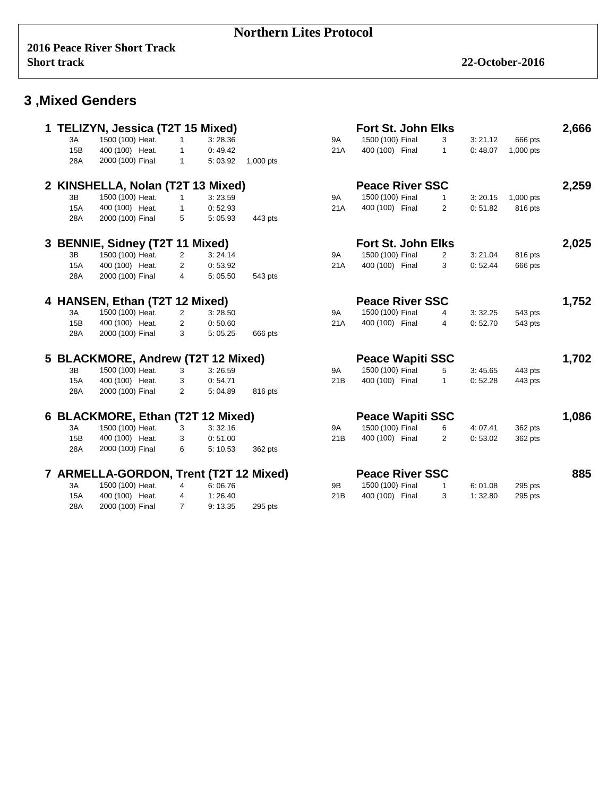#### **Northern Lites Protocol**

|            | TELIZYN, Jessica (T2T 15 Mixed)        |                |         |           |           | <b>Fort St. John Elks</b> |                |         |           | 2,666 |
|------------|----------------------------------------|----------------|---------|-----------|-----------|---------------------------|----------------|---------|-----------|-------|
| 3A         | 1500 (100) Heat.                       | $\mathbf{1}$   | 3:28.36 |           | <b>9A</b> | 1500 (100) Final          | 3              | 3:21.12 | 666 pts   |       |
| 15B        | 400 (100) Heat.                        | $\mathbf{1}$   | 0:49.42 |           | 21A       | 400 (100) Final           | $\mathbf{1}$   | 0:48.07 | 1,000 pts |       |
| 28A        | 2000 (100) Final                       | $\mathbf{1}$   | 5:03.92 | 1,000 pts |           |                           |                |         |           |       |
|            | 2 KINSHELLA, Nolan (T2T 13 Mixed)      |                |         |           |           | <b>Peace River SSC</b>    |                |         |           | 2,259 |
| 3B         | 1500 (100) Heat.                       | $\mathbf{1}$   | 3:23.59 |           | <b>9A</b> | 1500 (100) Final          | $\mathbf{1}$   | 3:20.15 | 1,000 pts |       |
| <b>15A</b> | 400 (100) Heat.                        | $\mathbf{1}$   | 0:52.93 |           | 21A       | 400 (100) Final           | $\overline{2}$ | 0:51.82 | 816 pts   |       |
| 28A        | 2000 (100) Final                       | 5              | 5:05.93 | 443 pts   |           |                           |                |         |           |       |
|            | 3 BENNIE, Sidney (T2T 11 Mixed)        |                |         |           |           | Fort St. John Elks        |                |         |           | 2,025 |
| 3B         | 1500 (100) Heat.                       | 2              | 3:24.14 |           | 9A        | 1500 (100) Final          | $\overline{2}$ | 3:21.04 | 816 pts   |       |
| <b>15A</b> | 400 (100) Heat.                        | 2              | 0:53.92 |           | 21A       | 400 (100) Final           | 3              | 0:52.44 | 666 pts   |       |
| 28A        | 2000 (100) Final                       | 4              | 5:05.50 | 543 pts   |           |                           |                |         |           |       |
|            | 4 HANSEN, Ethan (T2T 12 Mixed)         |                |         |           |           | <b>Peace River SSC</b>    |                |         |           | 1,752 |
| ЗA         | 1500 (100) Heat.                       | 2              | 3:28.50 |           | 9A        | 1500 (100) Final          | 4              | 3:32.25 | 543 pts   |       |
| 15B        | 400 (100) Heat.                        | 2              | 0:50.60 |           | 21A       | 400 (100) Final           | 4              | 0:52.70 | 543 pts   |       |
| 28A        | 2000 (100) Final                       | 3              | 5:05.25 | 666 pts   |           |                           |                |         |           |       |
|            | 5 BLACKMORE, Andrew (T2T 12 Mixed)     |                |         |           |           | <b>Peace Wapiti SSC</b>   |                |         |           | 1,702 |
| 3B         | 1500 (100) Heat.                       | 3              | 3:26.59 |           | <b>9A</b> | 1500 (100) Final          | 5              | 3:45.65 | 443 pts   |       |
| <b>15A</b> | 400 (100) Heat.                        | 3              | 0:54.71 |           | 21B       | 400 (100) Final           | $\mathbf{1}$   | 0:52.28 | 443 pts   |       |
| 28A        | 2000 (100) Final                       | $\overline{2}$ | 5:04.89 | 816 pts   |           |                           |                |         |           |       |
|            | 6 BLACKMORE, Ethan (T2T 12 Mixed)      |                |         |           |           | <b>Peace Wapiti SSC</b>   |                |         |           | 1,086 |
| 3A         | 1500 (100) Heat.                       | 3              | 3:32.16 |           | <b>9A</b> | 1500 (100) Final          | 6              | 4:07.41 | 362 pts   |       |
| 15B        | 400 (100) Heat.                        | 3              | 0:51.00 |           | 21B       | 400 (100) Final           | $\overline{2}$ | 0:53.02 | 362 pts   |       |
| 28A        | 2000 (100) Final                       | 6              | 5:10.53 | 362 pts   |           |                           |                |         |           |       |
|            | 7 ARMELLA-GORDON, Trent (T2T 12 Mixed) |                |         |           |           | <b>Peace River SSC</b>    |                |         |           | 885   |
| 3A         | 1500 (100) Heat.                       | 4              | 6:06.76 |           | 9B        | 1500 (100) Final          | $\mathbf{1}$   | 6:01.08 | 295 pts   |       |
| <b>15A</b> | 400 (100) Heat.                        | 4              | 1:26.40 |           | 21B       | 400 (100) Final           | 3              | 1:32.80 | 295 pts   |       |
| 28A        | 2000 (100) Final                       | $\overline{7}$ | 9:13.35 | 295 pts   |           |                           |                |         |           |       |
|            |                                        |                |         |           |           |                           |                |         |           |       |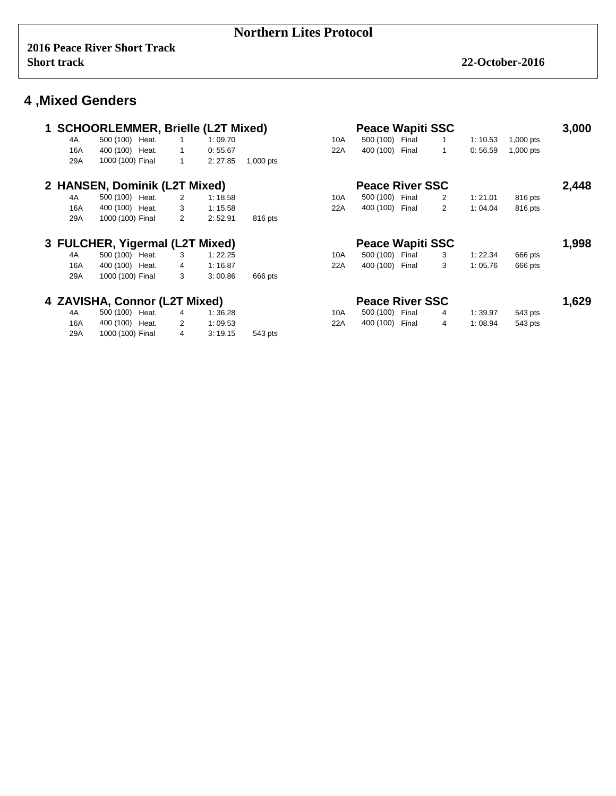|     | 1 SCHOORLEMMER, Brielle (L2T Mixed) |                |         |           |     | <b>Peace Wapiti SSC</b> |                |         |             | 3,000 |
|-----|-------------------------------------|----------------|---------|-----------|-----|-------------------------|----------------|---------|-------------|-------|
| 4A  | 500 (100) Heat.                     | $\mathbf{1}$   | 1:09.70 |           | 10A | 500 (100) Final         | 1              | 1:10.53 | $1,000$ pts |       |
| 16A | 400 (100) Heat.                     | 1              | 0:55.67 |           | 22A | Final<br>400 (100)      | 1              | 0:56.59 | $1,000$ pts |       |
| 29A | 1000 (100) Final                    | $\mathbf{1}$   | 2:27.85 | 1,000 pts |     |                         |                |         |             |       |
|     | 2 HANSEN, Dominik (L2T Mixed)       |                |         |           |     | <b>Peace River SSC</b>  |                |         |             | 2,448 |
| 4A  | 500 (100) Heat.                     | 2              | 1:18.58 |           | 10A | 500 (100)<br>Final      | 2              | 1:21.01 | 816 pts     |       |
| 16A | 400 (100) Heat.                     | 3              | 1:15.58 |           | 22A | 400 (100)<br>Final      | $\overline{2}$ | 1:04.04 | 816 pts     |       |
| 29A | 1000 (100) Final                    | 2              | 2:52.91 | 816 pts   |     |                         |                |         |             |       |
|     | 3 FULCHER, Yigermal (L2T Mixed)     |                |         |           |     | <b>Peace Wapiti SSC</b> |                |         |             | 1,998 |
| 4A  | 500 (100) Heat.                     | 3              | 1:22.25 |           | 10A | 500 (100) Final         | 3              | 1:22.34 | 666 pts     |       |
| 16A | 400 (100) Heat.                     | $\overline{4}$ | 1:16.87 |           | 22A | 400 (100) Final         | 3              | 1:05.76 | 666 pts     |       |
| 29A | 1000 (100) Final                    | 3              | 3:00.86 | 666 pts   |     |                         |                |         |             |       |
|     | 4 ZAVISHA, Connor (L2T Mixed)       |                |         |           |     | <b>Peace River SSC</b>  |                |         |             | 1,629 |
| 4A  | 500 (100) Heat.                     | 4              | 1:36.28 |           | 10A | 500 (100) Final         | 4              | 1:39.97 | 543 pts     |       |
| 16A | 400 (100) Heat.                     | $\overline{2}$ | 1:09.53 |           | 22A | 400 (100) Final         | 4              | 1:08.94 | 543 pts     |       |
| 29A | 1000 (100) Final                    | 4              | 3:19.15 | 543 pts   |     |                         |                |         |             |       |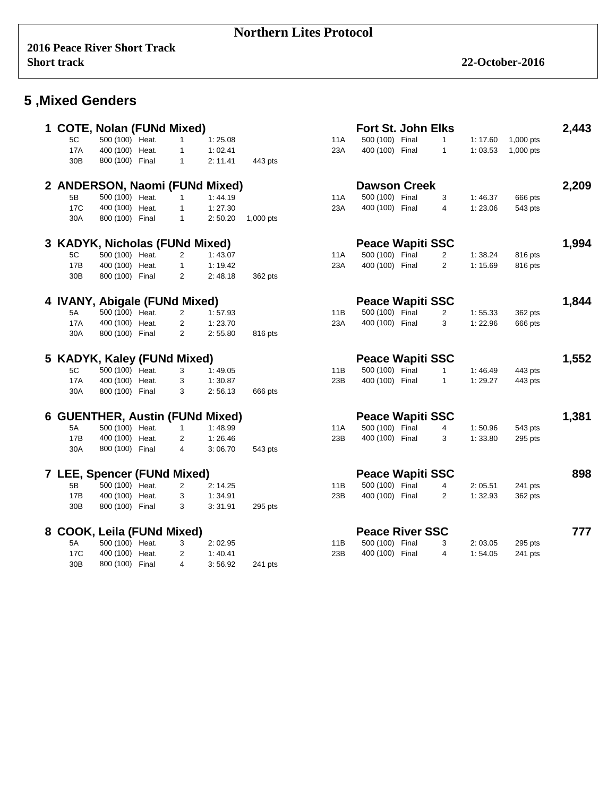#### **Northern Lites Protocol**

|                                | <b>COTE, Nolan (FUNd Mixed)</b> |                |                                 |           |     | <b>Fort St. John Elks</b> |                |         |             | 2,443 |
|--------------------------------|---------------------------------|----------------|---------------------------------|-----------|-----|---------------------------|----------------|---------|-------------|-------|
| 5C                             | 500 (100) Heat.                 | $\mathbf{1}$   | 1:25.08                         |           | 11A | 500 (100) Final           | $\mathbf{1}$   | 1:17.60 | 1,000 pts   |       |
| 17A                            | 400 (100) Heat.                 | 1              | 1:02.41                         |           | 23A | 400 (100) Final           | $\mathbf{1}$   | 1:03.53 | $1,000$ pts |       |
| 30 <sub>B</sub>                | 800 (100) Final                 | $\mathbf{1}$   | 2: 11.41                        | 443 pts   |     |                           |                |         |             |       |
|                                |                                 |                | 2 ANDERSON, Naomi (FUNd Mixed)  |           |     | <b>Dawson Creek</b>       |                |         |             | 2,209 |
| 5B                             | 500 (100) Heat.                 | $\mathbf{1}$   | 1:44.19                         |           | 11A | 500 (100) Final           | 3              | 1:46.37 | 666 pts     |       |
| 17C                            | 400 (100) Heat.                 | $\mathbf{1}$   | 1:27.30                         |           | 23A | 400 (100) Final           | 4              | 1:23.06 | 543 pts     |       |
| 30A                            | 800 (100) Final                 | $\mathbf{1}$   | 2:50.20                         | 1,000 pts |     |                           |                |         |             |       |
|                                |                                 |                |                                 |           |     |                           |                |         |             |       |
| 3 KADYK, Nicholas (FUNd Mixed) |                                 |                |                                 |           |     | <b>Peace Wapiti SSC</b>   |                |         |             | 1,994 |
| 5C                             | 500 (100) Heat.                 | 2              | 1:43.07                         |           | 11A | 500 (100) Final           | $\overline{2}$ | 1:38.24 | 816 pts     |       |
| 17B                            | 400 (100) Heat.                 | $\mathbf{1}$   | 1:19.42                         |           | 23A | 400 (100) Final           | $\overline{2}$ | 1:15.69 | 816 pts     |       |
| 30B                            | 800 (100) Final                 | $\overline{2}$ | 2:48.18                         | 362 pts   |     |                           |                |         |             |       |
| 4 IVANY, Abigale (FUNd Mixed)  |                                 |                |                                 |           |     | <b>Peace Wapiti SSC</b>   |                |         |             | 1,844 |
| 5A                             | 500 (100) Heat.                 | $\overline{2}$ | 1:57.93                         |           | 11B | 500 (100) Final           | $\overline{2}$ | 1:55.33 | 362 pts     |       |
| 17A                            | 400 (100) Heat.                 | 2              | 1:23.70                         |           | 23A | 400 (100) Final           | 3              | 1:22.96 | 666 pts     |       |
| 30A                            | 800 (100) Final                 | $\overline{2}$ | 2:55.80                         | 816 pts   |     |                           |                |         |             |       |
|                                |                                 |                |                                 |           |     |                           |                |         |             |       |
|                                |                                 |                |                                 |           |     |                           |                |         |             |       |
| 5 KADYK, Kaley (FUNd Mixed)    |                                 |                |                                 |           |     | <b>Peace Wapiti SSC</b>   |                |         |             | 1,552 |
| 5C                             | 500 (100) Heat.                 | 3              | 1:49.05                         |           | 11B | 500 (100) Final           | 1              | 1:46.49 | 443 pts     |       |
| <b>17A</b>                     | 400 (100) Heat.                 | 3              | 1:30.87                         |           | 23B | 400 (100) Final           | $\mathbf{1}$   | 1:29.27 | 443 pts     |       |
| 30A                            | 800 (100) Final                 | 3              | 2:56.13                         | 666 pts   |     |                           |                |         |             |       |
|                                |                                 |                | 6 GUENTHER, Austin (FUNd Mixed) |           |     | <b>Peace Wapiti SSC</b>   |                |         |             | 1,381 |
| 5A                             | 500 (100) Heat.                 | $\mathbf{1}$   | 1:48.99                         |           | 11A | 500 (100) Final           | 4              | 1:50.96 | 543 pts     |       |
| 17B                            | 400 (100) Heat.                 | 2              | 1:26.46                         |           | 23B | 400 (100) Final           | 3              | 1:33.80 | 295 pts     |       |
| 30A                            | 800 (100) Final                 | 4              | 3:06.70                         | 543 pts   |     |                           |                |         |             |       |
|                                |                                 |                |                                 |           |     |                           |                |         |             |       |
| 7 LEE, Spencer (FUNd Mixed)    |                                 |                |                                 |           |     | <b>Peace Wapiti SSC</b>   |                |         |             | 898   |
| 5B                             | 500 (100) Heat.                 | $\overline{c}$ | 2:14.25                         |           | 11B | 500 (100) Final           | 4              | 2:05.51 | 241 pts     |       |
| 17B                            | 400 (100) Heat.                 | 3              | 1:34.91                         |           | 23B | 400 (100) Final           | 2              | 1:32.93 | 362 pts     |       |
| 30 <sub>B</sub>                | 800 (100) Final                 | 3              | 3:31.91                         | 295 pts   |     |                           |                |         |             |       |
| 8 COOK, Leila (FUNd Mixed)     |                                 |                |                                 |           |     | <b>Peace River SSC</b>    |                |         |             | 777   |
| 5A                             | 500 (100) Heat.                 | 3              | 2:02.95                         |           | 11B | 500 (100) Final           | 3              | 2:03.05 | 295 pts     |       |
| 17 <sub>C</sub>                | 400 (100) Heat.                 | 2              | 1:40.41                         |           | 23B | 400 (100) Final           | 4              | 1:54.05 | 241 pts     |       |